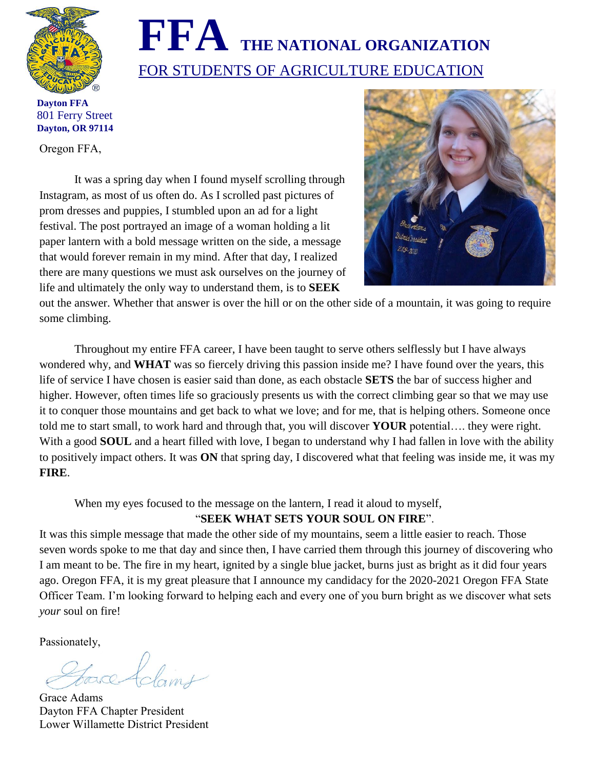

# **FFA THE NATIONAL ORGANIZATION** FOR STUDENTS OF AGRICULTURE EDUCATION

**Dayton FFA** 801 Ferry Street **Dayton, OR 97114**

Oregon FFA,

It was a spring day when I found myself scrolling through Instagram, as most of us often do. As I scrolled past pictures of prom dresses and puppies, I stumbled upon an ad for a light festival. The post portrayed an image of a woman holding a lit paper lantern with a bold message written on the side, a message that would forever remain in my mind. After that day, I realized there are many questions we must ask ourselves on the journey of life and ultimately the only way to understand them, is to **SEEK** 



out the answer. Whether that answer is over the hill or on the other side of a mountain, it was going to require some climbing.

Throughout my entire FFA career, I have been taught to serve others selflessly but I have always wondered why, and **WHAT** was so fiercely driving this passion inside me? I have found over the years, this life of service I have chosen is easier said than done, as each obstacle **SETS** the bar of success higher and higher. However, often times life so graciously presents us with the correct climbing gear so that we may use it to conquer those mountains and get back to what we love; and for me, that is helping others. Someone once told me to start small, to work hard and through that, you will discover **YOUR** potential…. they were right. With a good **SOUL** and a heart filled with love, I began to understand why I had fallen in love with the ability to positively impact others. It was **ON** that spring day, I discovered what that feeling was inside me, it was my **FIRE**.

When my eyes focused to the message on the lantern, I read it aloud to myself,

## "**SEEK WHAT SETS YOUR SOUL ON FIRE**".

It was this simple message that made the other side of my mountains, seem a little easier to reach. Those seven words spoke to me that day and since then, I have carried them through this journey of discovering who I am meant to be. The fire in my heart, ignited by a single blue jacket, burns just as bright as it did four years ago. Oregon FFA, it is my great pleasure that I announce my candidacy for the 2020-2021 Oregon FFA State Officer Team. I'm looking forward to helping each and every one of you burn bright as we discover what sets *your* soul on fire!

Passionately,

efdamt

Grace Adams Dayton FFA Chapter President Lower Willamette District President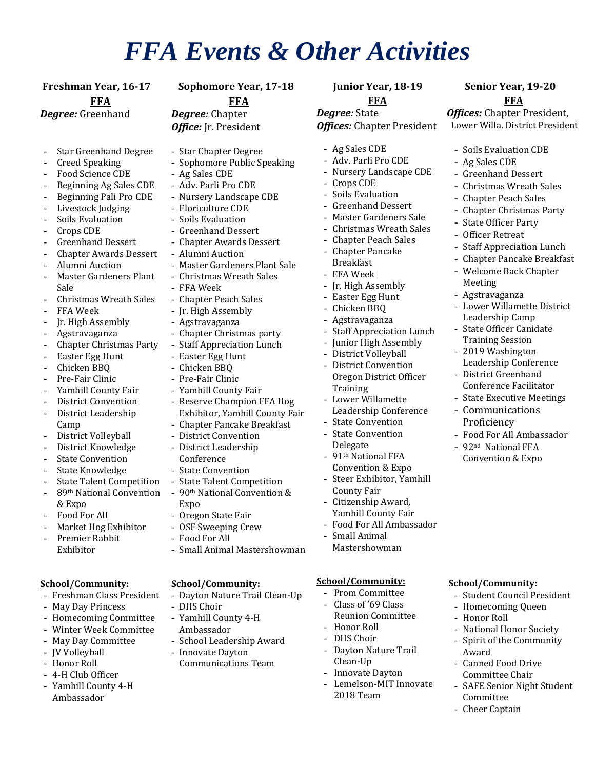## *FFA Events & Other Activities*

**Freshman Year, 16-17 Sophomore Year, 17-18 Junior Year, 18-19 Senior Year, 19-20 FFA** *Degree:* Greenhand

*Degree:* Chapter *Office:* Jr. President

- Star Greenhand Degree
- Creed Speaking
- Food Science CDE
- Beginning Ag Sales CDE
- Beginning Pali Pro CDE
- Livestock Judging
- Soils Evaluation
- Crops CDE
- Greenhand Dessert
- Chapter Awards Dessert
- Alumni Auction
- Master Gardeners Plant Sale
- Christmas Wreath Sales
- FFA Week
- Jr. High Assembly
- Agstravaganza
- Chapter Christmas Party
- Easter Egg Hunt
- Chicken BBQ
- Pre-Fair Clinic
- Yamhill County Fair
- District Convention
- District Leadership Camp
- District Volleyball
- District Knowledge
- **State Convention**
- State Knowledge
- **State Talent Competition**
- 89th National Convention & Expo
- Food For All
- Market Hog Exhibitor
- Premier Rabbit Exhibitor

### **School/Community:**

- Freshman Class President
- May Day Princess
- Homecoming Committee
- Winter Week Committee
- May Day Committee
- JV Volleyball
- Honor Roll
- 4-H Club Officer
- Yamhill County 4-H Ambassador
- **FFA**
- Star Chapter Degree
- Sophomore Public Speaking
- Ag Sales CDE
- Adv. Parli Pro CDE
- Nursery Landscape CDE
- Floriculture CDE
- Soils Evaluation
- Greenhand Dessert
- Chapter Awards Dessert
- Alumni Auction
- Master Gardeners Plant Sale
- Christmas Wreath Sales
- FFA Week
- Chapter Peach Sales
- Jr. High Assembly
- Agstravaganza
- Chapter Christmas party
- Staff Appreciation Lunch
- Easter Egg Hunt
- Chicken BBQ
- Pre-Fair Clinic
- Yamhill County Fair
- Reserve Champion FFA Hog Exhibitor, Yamhill County Fair
- Chapter Pancake Breakfast
- District Convention
- District Leadership
- Conference
- State Convention
- State Talent Competition - 90th National Convention &
- Expo
- Oregon State Fair - OSF Sweeping Crew
- Food For All
- 
- Small Animal Mastershowman

### **School/Community:**

- Dayton Nature Trail Clean-Up
- DHS Choir
- Yamhill County 4-H Ambassador
	- School Leadership Award
- Innovate Dayton
- Communications Team

## **FFA**

**FFA** *Offices:* Chapter President, Lower Willa. District President

- Soils Evaluation CDE Ag Sales CDE Greenhand Dessert - Christmas Wreath Sales - Chapter Peach Sales Chapter Christmas Party

- State Officer Party - Officer Retreat

Meeting - Agstravaganza

**Staff Appreciation Lunch** - Chapter Pancake Breakfast - Welcome Back Chapter

Lower Willamette District

- Food For All Ambassador - 92nd National FFA Convention & Expo

**School/Community:**

- Honor Roll

Award

Committee - Cheer Captain

Student Council President - Homecoming Queen

- National Honor Society - Spirit of the Community

- SAFE Senior Night Student

- Canned Food Drive Committee Chair

Leadership Camp State Officer Canidate Training Session 2019 Washington Leadership Conference - District Greenhand Conference Facilitator - State Executive Meetings **Communications** Proficiency

*Degree:* State *Offices:* Chapter President

- Ag Sales CDE
- Adv. Parli Pro CDE
- Nursery Landscape CDE
- Crops CDE
- Soils Evaluation
- Greenhand Dessert
- Master Gardeners Sale
- Christmas Wreath Sales

**Staff Appreciation Lunch** Junior High Assembly District Volleyball - District Convention Oregon District Officer

- Chapter Peach Sales - Chapter Pancake

Breakfast - FFA Week - Jr. High Assembly Easter Egg Hunt - Chicken BBQ - Agstravaganza

Training

County Fair Citizenship Award, Yamhill County Fair - Food For All Ambassador

- Small Animal Mastershowman

**School/Community:** - Prom Committee Class of '69 Class Reunion Committee

- Honor Roll DHS Choir - Dayton Nature Trail

Clean-Up - Innovate Dayton - Lemelson-MIT Innovate

2018 Team

Lower Willamette Leadership Conference **State Convention State Convention** Delegate - 91th National FFA Convention & Expo Steer Exhibitor, Yamhill